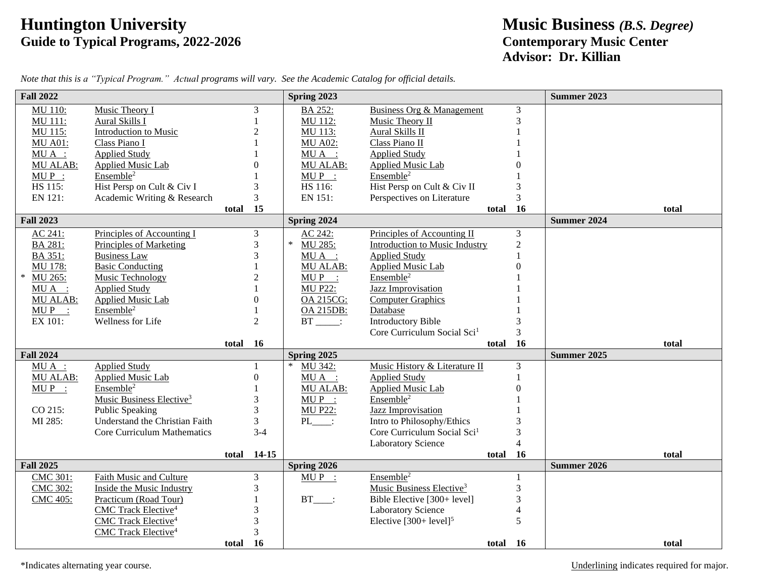## **Huntington University Music Business** *(B.S. Degree)* **Guide to Typical Programs, 2022-2026 Contemporary Music Center**

## **Advisor: Dr. Killian**

| <b>Fall 2022</b>  |                                       |          |                  | Spring 2023       |                                         |          |                          | <b>Summer 2023</b> |
|-------------------|---------------------------------------|----------|------------------|-------------------|-----------------------------------------|----------|--------------------------|--------------------|
| <b>MU 110:</b>    | Music Theory I                        |          | 3                | BA 252:           | <b>Business Org &amp; Management</b>    |          | 3                        |                    |
| MU 111:           | Aural Skills I                        |          |                  | MU 112:           | Music Theory II                         |          | 3                        |                    |
| MU 115:           | Introduction to Music                 |          |                  | MU 113:           | Aural Skills II                         |          |                          |                    |
| <b>MU A01:</b>    | Class Piano I                         |          |                  | <b>MU A02:</b>    | Class Piano II                          |          |                          |                    |
| $MU A$ :          | <b>Applied Study</b>                  |          |                  | MUA :             | <b>Applied Study</b>                    |          |                          |                    |
| <b>MU ALAB:</b>   | Applied Music Lab                     |          |                  | MU ALAB:          | Applied Music Lab                       |          | 0                        |                    |
| $MUP$ :           | Ensemble <sup>2</sup>                 |          |                  | $MUP$ :           | Ensemble <sup>2</sup>                   |          |                          |                    |
| HS 115:           | Hist Persp on Cult & Civ I            |          | 3                | HS 116:           | Hist Persp on Cult & Civ II             |          | 3                        |                    |
| EN 121:           | Academic Writing & Research           |          | 3                | EN 151:           | Perspectives on Literature              |          | $\overline{3}$           |                    |
|                   |                                       | total    | 15               |                   |                                         | total    | <b>16</b>                | total              |
| <b>Fall 2023</b>  |                                       |          |                  | Spring 2024       |                                         |          |                          | <b>Summer 2024</b> |
| AC 241:           | Principles of Accounting I            |          | 3                | AC 242:           | Principles of Accounting II             |          | 3                        |                    |
| BA 281:           | <b>Principles of Marketing</b>        |          | 3                | $\ast$<br>MU 285: | <b>Introduction to Music Industry</b>   |          | $\overline{c}$           |                    |
| BA 351:           | <b>Business Law</b>                   |          | 3                | $MU A$ :          | <b>Applied Study</b>                    |          |                          |                    |
| MU 178:           | <b>Basic Conducting</b>               |          |                  | MU ALAB:          | <b>Applied Music Lab</b>                |          | $\theta$                 |                    |
| $\ast$<br>MU 265: | <b>Music Technology</b>               |          | 2                | $MUP$ :           | Ensemble <sup>2</sup>                   |          |                          |                    |
| MUA :             | <b>Applied Study</b>                  |          |                  | <b>MU P22:</b>    | Jazz Improvisation                      |          |                          |                    |
| <b>MU ALAB:</b>   | Applied Music Lab                     |          | $\Omega$         | OA 215CG:         | <b>Computer Graphics</b>                |          |                          |                    |
| $MUP$ :           | Ensemble <sup>2</sup>                 |          |                  | <b>OA 215DB:</b>  | Database                                |          |                          |                    |
| EX 101:           | Wellness for Life                     |          | $\overline{2}$   | $BT$ :            | <b>Introductory Bible</b>               |          | 3                        |                    |
|                   |                                       |          |                  |                   | Core Curriculum Social Sci <sup>1</sup> |          | $\overline{3}$           |                    |
|                   |                                       | total 16 |                  |                   |                                         | total    | 16                       | total              |
| <b>Fall 2024</b>  |                                       |          |                  | Spring 2025       |                                         |          |                          | <b>Summer 2025</b> |
| $MU A$ :          | <b>Applied Study</b>                  |          | $\mathbf{1}$     | $\ast$<br>MU 342: | Music History & Literature II           |          | 3                        |                    |
| <b>MU ALAB:</b>   | <b>Applied Music Lab</b>              |          | $\boldsymbol{0}$ | $MU A$ :          | <b>Applied Study</b>                    |          | 1                        |                    |
| $MUP$ :           | Ensemble <sup>2</sup>                 |          |                  | MU ALAB:          | <b>Applied Music Lab</b>                |          | $\overline{0}$           |                    |
|                   | Music Business Elective <sup>3</sup>  |          | 3                | $MUP$ :           | Ensemble <sup>2</sup>                   |          |                          |                    |
| CO 215:           | <b>Public Speaking</b>                |          |                  | <b>MU P22:</b>    | <b>Jazz Improvisation</b>               |          |                          |                    |
| MI 285:           | <b>Understand the Christian Faith</b> |          | 3                | PL :              | Intro to Philosophy/Ethics              |          | 3                        |                    |
|                   | <b>Core Curriculum Mathematics</b>    |          | $3 - 4$          |                   | Core Curriculum Social Sci <sup>1</sup> |          | 3                        |                    |
|                   |                                       |          |                  |                   | <b>Laboratory Science</b>               |          | $\overline{4}$           |                    |
|                   |                                       | total    | $14 - 15$        |                   |                                         | total    | 16                       | total              |
| <b>Fall 2025</b>  |                                       |          |                  | Spring 2026       |                                         |          |                          | <b>Summer 2026</b> |
| CMC 301:          | Faith Music and Culture               |          | 3                | $MUP$ :           | Ensemble <sup>2</sup>                   |          | 1                        |                    |
| <b>CMC 302:</b>   | Inside the Music Industry             |          | 3                |                   | Music Business Elective <sup>3</sup>    |          | $\overline{3}$           |                    |
| <b>CMC 405:</b>   | Practicum (Road Tour)                 |          |                  | $BT$ :            | Bible Elective [300+ level]             |          | 3                        |                    |
|                   | CMC Track Elective <sup>4</sup>       |          |                  |                   | <b>Laboratory Science</b>               |          | $\overline{\mathcal{L}}$ |                    |
|                   | CMC Track Elective <sup>4</sup>       |          |                  |                   | Elective $[300+level]^{5}$              |          | 5                        |                    |
|                   | CMC Track Elective <sup>4</sup>       |          | 3                |                   |                                         |          |                          |                    |
|                   |                                       | total    | <b>16</b>        |                   |                                         | total 16 |                          | total              |

*Note that this is a "Typical Program." Actual programs will vary. See the Academic Catalog for official details.*

\*Indicates alternating year course. Underlining indicates required for major.